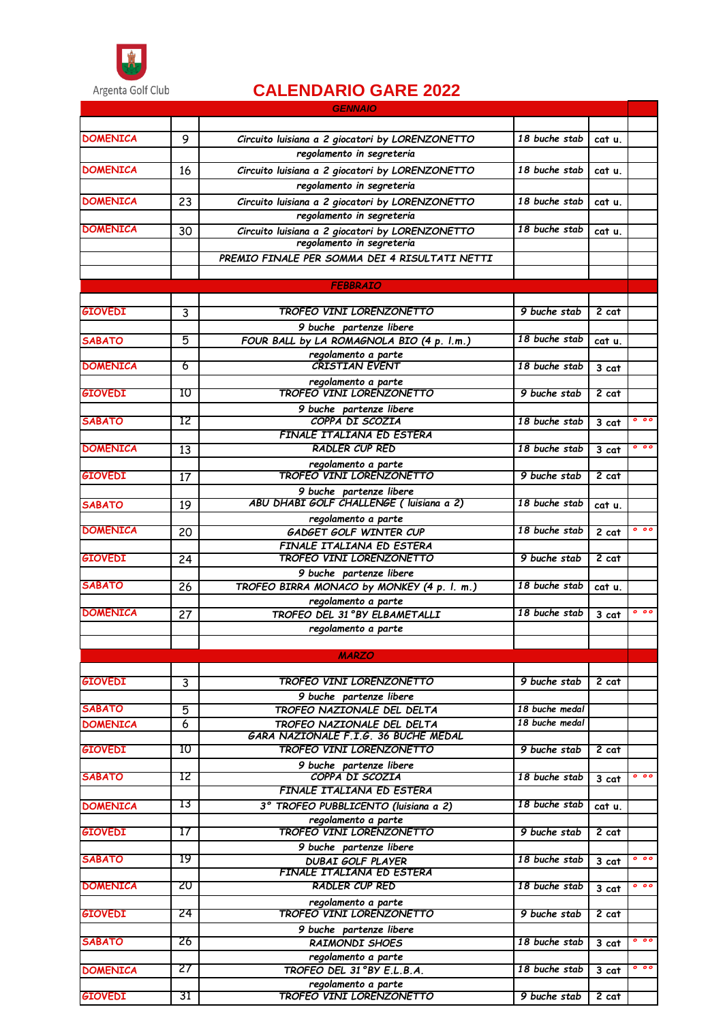

## **CALENDARIO GARE 2022**

|                 |                | <b>GENNAIO</b>                                         |                |                    |                |
|-----------------|----------------|--------------------------------------------------------|----------------|--------------------|----------------|
|                 |                |                                                        |                |                    |                |
| <b>DOMENICA</b> | 9              | Circuito luisiana a 2 giocatori by LORENZONETTO        | 18 buche stab  | cat u.             |                |
|                 |                | regolamento in segreteria                              |                |                    |                |
| <b>DOMENICA</b> | 16             | Circuito luisiana a 2 giocatori by LORENZONETTO        | 18 buche stab  | cat u.             |                |
|                 |                | regolamento in segreteria                              |                |                    |                |
| <b>DOMENICA</b> | 23             | Circuito luisiana a 2 giocatori by LORENZONETTO        | 18 buche stab  | cat u.             |                |
|                 |                | regolamento in segreteria                              |                |                    |                |
| <b>DOMENICA</b> | 30             | Circuito luisiana a 2 giocatori by LORENZONETTO        | 18 buche stab  | cat u.             |                |
|                 |                | regolamento in segreteria                              |                |                    |                |
|                 |                | PREMIO FINALE PER SOMMA DEI 4 RISULTATI NETTI          |                |                    |                |
|                 |                |                                                        |                |                    |                |
|                 |                | <b>FEBBRAIO</b>                                        |                |                    |                |
|                 |                |                                                        |                |                    |                |
| <b>GIOVEDI</b>  | 3              | TROFEO VINI LORENZONETTO                               | 9 buche stab   | 2 cat              |                |
|                 |                | 9 buche partenze libere                                |                |                    |                |
| <b>SABATO</b>   | 5              | FOUR BALL by LA ROMAGNOLA BIO (4 p. l.m.)              | 18 buche stab  | cat u.             |                |
|                 |                | regolamento a parte                                    |                |                    |                |
| <b>DOMENICA</b> | 6              | <b>CRISTIAN EVENT</b>                                  | 18 buche stab  | 3 cat              |                |
|                 |                | regolamento a parte<br>TROFEO VINI LORENZONETTO        |                |                    |                |
| <b>GIOVEDI</b>  | 10             |                                                        | 9 buche stab   | $2$ cat            |                |
|                 |                | 9 buche partenze libere<br>COPPA DI SCOZIA             |                |                    | 000            |
| SABATO          | 12             | FINALE ITALIANA ED ESTERA                              | 18 buche stab  | $3$ cat            |                |
| <b>DOMENICA</b> | 13             | RADLER CUP RED                                         | 18 buche stab  |                    | 0 <sub>0</sub> |
|                 |                |                                                        |                | 3 cat              |                |
| <b>GIOVEDI</b>  | 17             | regolamento a parte<br>TROFEO VINI LORENZONETTO        | 9 buche stab   | $2$ cat            |                |
|                 |                | 9 buche partenze libere                                |                |                    |                |
| <b>SABATO</b>   | 19             | ABU DHABI GOLF CHALLENGE ( luisiana a 2)               | 18 buche stab  | cat u.             |                |
|                 |                | regolamento a parte                                    |                |                    |                |
| <b>DOMENICA</b> | 20             | GADGET GOLF WINTER CUP                                 | 18 buche stab  | 2 cat              | 0 <sub>0</sub> |
|                 |                | FINALE ITALIANA ED ESTERA                              |                |                    |                |
| <b>GIOVEDI</b>  | 24             | <b>TROFEO VINI LORENZONETTO</b>                        | 9 buche stab   | 2 cat              |                |
|                 |                | 9 buche partenze libere                                |                |                    |                |
| <b>SABATO</b>   | 26             | TROFEO BIRRA MONACO by MONKEY (4 p. l. m.)             | 18 buche stab  | cat u.             |                |
|                 |                | regolamento a parte                                    |                |                    |                |
| <b>DOMENICA</b> | 27             | TROFEO DEL 31°BY ELBAMETALLI                           | 18 buche stab  | 3 cat              | 0 <sub>0</sub> |
|                 |                | regolamento a parte                                    |                |                    |                |
|                 |                |                                                        |                |                    |                |
|                 |                | <b>MARZO</b>                                           |                |                    |                |
| <b>GIOVEDI</b>  |                | <b>TROFEO VINI LORENZONETTO</b>                        | 9 buche stab   | 2 cat              |                |
|                 | 3              |                                                        |                |                    |                |
| SABATO          | $\overline{5}$ | 9 buche partenze libere<br>TROFEO NAZIONALE DEL DELTA  | 18 buche medal |                    |                |
| <b>DOMENICA</b> | 6              | TROFEO NAZIONALE DEL DELTA                             | 18 buche medal |                    |                |
|                 |                | GARA NAZIONALE F.I.G. 36 BUCHE MEDAL                   |                |                    |                |
| <b>GIOVEDI</b>  | 10             | TROFEO VINI LORENZONETTO                               | 9 buche stab   | $2$ cat            |                |
|                 |                | 9 buche partenze libere                                |                |                    |                |
| SABATO          | 12             | COPPA DI SCOZIA                                        | 18 buche stab  | 3 cat              | 000            |
|                 |                | <b>FINALE ITALIANA ED ESTERA</b>                       |                |                    |                |
| <b>DOMENICA</b> | 13             | 3° TROFEO PUBBLICENTO (luisiana a 2)                   | 18 buche stab  | cat u.             |                |
|                 |                | regolamento a parte                                    |                |                    |                |
| <b>GIOVEDI</b>  | 17             | <b>TROFEO VINI LORENZONETTO</b>                        | 9 buche stab   | 2 cat              |                |
|                 |                | 9 buche partenze libere                                |                |                    |                |
| <b>SABATO</b>   | 19             | <b>DUBAI GOLF PLAYER</b>                               | 18 buche stab  | $\overline{3}$ cat | 000            |
|                 |                | FINALE ITALIANA ED ESTERA                              |                |                    |                |
| <b>DOMENICA</b> | 20             | RADLER CUP RED                                         | 18 buche stab  | 3 cat              | 000            |
|                 | 24             | regolamento a parte<br><b>TROFEO VINI LORENZONETTO</b> |                |                    |                |
| <b>GIOVEDI</b>  |                |                                                        | 9 buche stab   | 2 cat              |                |
| SABATO          | 26             | 9 buche partenze libere                                | 18 buche stab  |                    | 0 <sub>0</sub> |
|                 |                | <b>RAIMONDI SHOES</b>                                  |                | 3 cat              |                |
| <b>DOMENICA</b> | 27             | regolamento a parte<br>TROFEO DEL 31°BY E.L.B.A.       | 18 buche stab  | 3 cat              | 0 <sub>0</sub> |
|                 |                | regolamento a parte                                    |                |                    |                |
| <b>GIOVEDI</b>  | 31             | <b>TROFEO VINI LORENZONETTO</b>                        | 9 buche stab   | $2$ cat            |                |
|                 |                |                                                        |                |                    |                |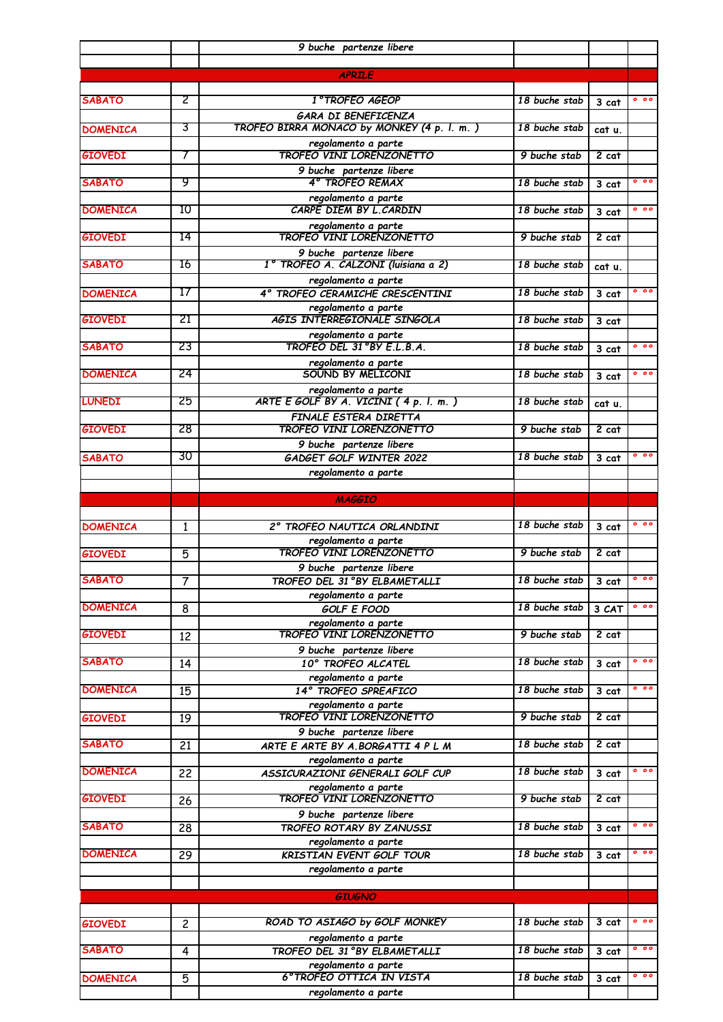|                 |                | 9 buche partenze libere                                        |                          |                    |                 |
|-----------------|----------------|----------------------------------------------------------------|--------------------------|--------------------|-----------------|
|                 |                |                                                                |                          |                    |                 |
|                 |                | <b>APRILE</b>                                                  |                          |                    |                 |
| <b>SABATO</b>   | 2              | 1°TROFEO AGEOP                                                 | 18 buche stab            | 3 cat              | 000             |
|                 |                | <b>GARA DI BENEFICENZA</b>                                     |                          |                    |                 |
| <b>DOMENICA</b> | 3              | TROFEO BIRRA MONACO by MONKEY (4 p. l. m.)                     | 18 buche stab            | cat u.             |                 |
| <b>GIOVEDI</b>  | T              | regolamento a parte<br><b>TROFEO VINI LORENZONETTO</b>         | 9 buche stab             | $2$ cat            |                 |
|                 |                | 9 buche partenze libere                                        |                          |                    |                 |
| <b>SABATO</b>   | 9              | 4° TROFEO REMAX                                                | 18 buche stab            | 3 cat              | 0 <sub>0</sub>  |
|                 |                | regolamento a parte                                            |                          |                    |                 |
| <b>DOMENICA</b> | 10             | CARPE DIEM BY L. CARDIN                                        | 18 buche stab            | $3$ cat            | 0 <sub>0</sub>  |
| <b>GIOVEDI</b>  | 14             | regolamento a parte<br><b>TROFEO VINI LORENZONETTO</b>         | 9 buche stab             | $2$ cat            |                 |
|                 |                | 9 buche partenze libere                                        |                          |                    |                 |
| <b>SABATO</b>   | 16             | 1º TROFEO A. CALZONI (luisiana a 2)                            | 18 buche stab            | cat u.             |                 |
|                 |                | regolamento a parte                                            |                          |                    |                 |
| <b>DOMENICA</b> | 17             | 4° TROFEO CERAMICHE CRESCENTINI                                | 18 buche stab            | 3 cat              | 000             |
| <b>GIOVEDI</b>  | 21             | regolamento a parte<br>AGIS INTERREGIONALE SINGOLA             | 18 buche stab            | 3 cat              |                 |
|                 |                |                                                                |                          |                    |                 |
| <b>SABATO</b>   | 23             | regolamento a parte<br>TROFEO DEL 31ºBY E.L.B.A.               | 18 buche stab            | 3 cat              | 0 <sub>0</sub>  |
|                 |                | regolamento a parte<br>SOUND BY MELICONI                       |                          |                    | $^{\circ}$      |
| <b>DOMENICA</b> | 24             |                                                                | 18 buche stab            | 3 cat              |                 |
| <b>LUNEDI</b>   | 25             | regolamento a parte<br>ARTE E GOLF BY A. VICINI $(4 p. 1 m. )$ | 18 buche stab            | cat u.             |                 |
|                 |                | FINALE ESTERA DIRETTA                                          |                          |                    |                 |
| <b>GIOVEDI</b>  | 28             | TROFEO VINI LORENZONETTO                                       | 9 buche stab             | $2$ cat            |                 |
|                 |                | 9 buche partenze libere                                        |                          |                    |                 |
| <b>SABATO</b>   | 30             | GADGET GOLF WINTER 2022                                        | 18 buche stab            | $3$ cat            | 0 <sub>0</sub>  |
|                 |                | regolamento a parte                                            |                          |                    |                 |
|                 |                | <b>MAGGIO</b>                                                  |                          |                    |                 |
|                 |                |                                                                |                          |                    |                 |
| <b>DOMENICA</b> | 1              | 2° TROFEO NAUTICA ORLANDINI                                    | 18 buche stab            | $\overline{3}$ cat | 000             |
| <b>GIOVEDI</b>  | 5              | regolamento a parte<br><b>TROFEO VINI LORENZONETTO</b>         | 9 buche stab             | $2$ cat            |                 |
|                 |                | 9 buche partenze libere                                        |                          |                    |                 |
| <b>SABATO</b>   | $\overline{7}$ | TROFEO DEL 31°BY ELBAMETALLI                                   | 18 buche stab 3 cat 0 00 |                    |                 |
|                 |                | regolamento a parte                                            |                          |                    |                 |
| <b>DOMENICA</b> | 8              | <b>GOLF E FOOD</b>                                             | 18 buche stab            | 3 CAT              | $^{\circ}$      |
| <b>GIOVEDI</b>  | 12             | regolamento a parte<br><b>TROFEO VINI LORENZONETTO</b>         | 9 buche stab             | 2 cat              |                 |
|                 |                | 9 buche partenze libere                                        |                          |                    |                 |
| <b>SABATO</b>   | 14             | 10° TROFEO ALCATEL                                             | 18 buche stab            | 3 cat              | 0 <sub>0</sub>  |
|                 |                | regolamento a parte                                            |                          |                    |                 |
| <b>DOMENICA</b> | 15             | 14° TROFEO SPREAFICO                                           | 18 buche stab            | $\overline{3}$ cat | $^{\circ}$      |
| <b>GIOVEDI</b>  | 19             | regolamento a parte<br><b>TROFEO VINI LORENZONETTO</b>         | 9 buche stab             | $2$ cat            |                 |
|                 |                | 9 buche partenze libere                                        |                          |                    |                 |
| <b>SABATO</b>   | 21             | ARTE E ARTE BY A. BORGATTI 4 P L M                             | 18 buche stab            | $2$ cat            |                 |
|                 |                | regolamento a parte                                            |                          |                    |                 |
| <b>DOMENICA</b> | 22             | ASSICURAZIONI GENERALI GOLF CUP                                | 18 buche stab            | 3 cat              | $^{\circ}$      |
| <b>GIOVEDI</b>  | 26             | regolamento a parte<br><b>TROFEO VINI LORENZONETTO</b>         | 9 buche stab             | $2$ cat            |                 |
|                 |                | 9 buche partenze libere                                        |                          |                    |                 |
| <b>SABATO</b>   | 28             | TROFEO ROTARY BY ZANUSSI                                       | 18 buche stab            | 3 cat              | 000             |
|                 |                | regolamento a parte                                            |                          |                    |                 |
| <b>DOMENICA</b> | 29             | KRISTIAN EVENT GOLF TOUR                                       | 18 buche stab            | 3 cat              | 0 <sub>00</sub> |
|                 |                | regolamento a parte                                            |                          |                    |                 |
|                 |                | <b>GIUGNO</b>                                                  |                          |                    |                 |
|                 |                |                                                                |                          |                    |                 |
| <b>GIOVEDI</b>  | $\overline{c}$ | ROAD TO ASIAGO by GOLF MONKEY                                  | 18 buche stab            | $3$ cat            | $0\ 0\ 0$       |
| <b>SABATO</b>   | 4              | regolamento a parte<br>TROFEO DEL 31°BY ELBAMETALLI            | 18 buche stab            | 3 cat              | 0 <sub>0</sub>  |
|                 |                | regolamento a parte                                            |                          |                    |                 |
| <b>DOMENICA</b> | 5              | 6° TROFEO OTTICA IN VISTA                                      | 18 buche stab            | 3 cat              | $^{\circ}$      |
|                 |                | regolamento a parte                                            |                          |                    |                 |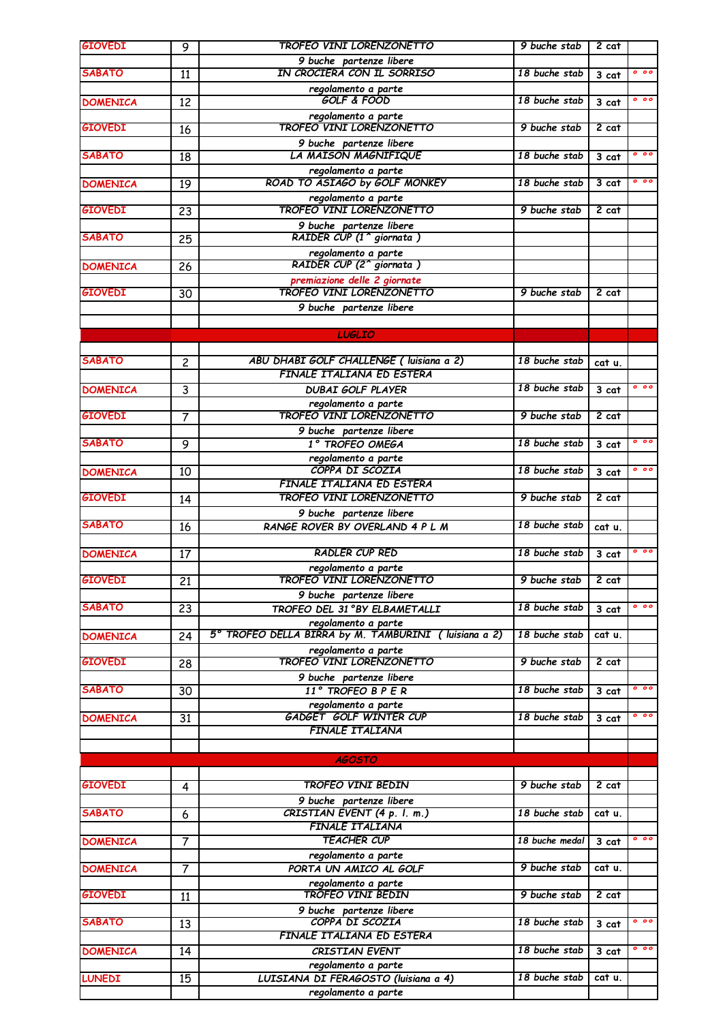| <b>GIOVEDI</b>  | 9               | <b>TROFEO VINI LORENZONETTO</b>                                              | 9 buche stab       | 2 cat   |                |
|-----------------|-----------------|------------------------------------------------------------------------------|--------------------|---------|----------------|
|                 |                 | 9 buche partenze libere                                                      |                    |         |                |
| <b>SABATO</b>   | 11              | IN CROCIERA CON IL SORRISO                                                   | 18 buche stab      | 3 cat   | 0 <sub>0</sub> |
| <b>DOMENICA</b> | 12              | regolamento a parte<br><b>GOLF &amp; FOOD</b>                                | 18 buche stab      | 3 cat   | 000            |
|                 |                 | regolamento a parte                                                          |                    |         |                |
| <b>GIOVEDI</b>  | 16              | <b>TROFEO VINI LORENZONETTO</b>                                              | 9 buche stab       | $2$ cat |                |
|                 |                 | 9 buche partenze libere                                                      |                    |         |                |
| <b>SABATO</b>   | 18              | LA MAISON MAGNIFIQUE                                                         | 18 buche stab      | 3 cat   | 000            |
| <b>DOMENICA</b> | 19              | regolamento a parte<br>ROAD TO ASIAGO by GOLF MONKEY                         | 18 buche stab      | $3$ cat | 0 <sub>0</sub> |
|                 |                 |                                                                              |                    |         |                |
| <b>GIOVEDI</b>  | 23              | regolamento a parte<br>TROFEO VINI LORENZONETTO                              | 9 buche stab       | 2 cat   |                |
|                 |                 | 9 buche partenze libere                                                      |                    |         |                |
| <b>SABATO</b>   | 25              | RAIDER CUP (1 <sup>^</sup> giornata)                                         |                    |         |                |
| <b>DOMENICA</b> | 26              | regolamento a parte<br>RAIDER CUP (2 <sup>^</sup> giornata)                  |                    |         |                |
|                 |                 | premiazione delle 2 giornate                                                 |                    |         |                |
| <b>GIOVEDI</b>  | 30              | <b>TROFEO VINI LORENZONETTO</b>                                              | 9 buche stab       | $2$ cat |                |
|                 |                 | 9 buche partenze libere                                                      |                    |         |                |
|                 |                 |                                                                              |                    |         |                |
|                 |                 | <b>LUGLIO</b>                                                                |                    |         |                |
| <b>SABATO</b>   | $\overline{c}$  | ABU DHABI GOLF CHALLENGE ( luisiana a 2)                                     | 18 buche stab      | cat u.  |                |
|                 |                 | <b>FINALE ITALIANA ED ESTERA</b>                                             |                    |         |                |
| <b>DOMENICA</b> | 3               | <b>DUBAI GOLF PLAYER</b>                                                     | 18 buche stab      | 3 cat   | 000            |
|                 |                 | regolamento a parte                                                          |                    |         |                |
| <b>GIOVEDI</b>  | 7               | <b>TROFEO VINI LORENZONETTO</b>                                              | 9 buche stab       | $2$ cat |                |
| <b>SABATO</b>   | 9               | 9 buche partenze libere<br>1° TROFEO OMEGA                                   | 18 buche stab      | 3 cat   | 000            |
|                 |                 | regolamento a parte                                                          |                    |         |                |
| <b>DOMENICA</b> | 10              | COPPA DI SCOZIA                                                              | 18 buche stab      | 3 cat   | 0 <sub>0</sub> |
|                 |                 | FINALE ITALIANA ED ESTERA                                                    |                    |         |                |
| <b>GIOVEDI</b>  | 14              | <b>TROFEO VINI LORENZONETTO</b>                                              | 9 buche stab       | 2 cat   |                |
| <b>SABATO</b>   |                 | 9 buche partenze libere                                                      | 18 buche stab      |         |                |
|                 | 16              | RANGE ROVER BY OVERLAND 4 P L M                                              |                    | cat u.  |                |
| <b>DOMENICA</b> | 17              | <b>RADLER CUP RED</b>                                                        | 18 buche stab      | 3 cat   | 0 <sub>0</sub> |
|                 |                 | regolamento a parte                                                          |                    |         |                |
| <b>GIOVEDI</b>  | $\overline{21}$ | <b>TROFEO VINI LORENZONETTO</b>                                              | 9 buche stab 2 cat |         |                |
| <b>SABATO</b>   |                 | 9 buche partenze libere                                                      |                    |         | 000            |
|                 | 23              | TROFEO DEL 31°BY ELBAMETALLI                                                 | 18 buche stab      | 3 cat   |                |
| <b>DOMENICA</b> | 24              | regolamento a parte<br>5° TROFEO DELLA BIRRA by M. TAMBURINI ( luisiana a 2) | 18 buche stab      | cat u.  |                |
|                 |                 | regolamento a parte                                                          |                    |         |                |
| <b>GIOVEDI</b>  | 28              | <b>TROFEO VINI LORENZONETTO</b>                                              | 9 buche stab       | 2 cat   |                |
|                 |                 | 9 buche partenze libere                                                      |                    |         |                |
| <b>SABATO</b>   | 30              | 11° TROFEO B P E R                                                           | 18 buche stab      | 3 cat   | 000            |
| <b>DOMENICA</b> | 31              | regolamento a parte<br><b>GADGET GOLF WINTER CUP</b>                         | 18 buche stab      | 3 cat   | $0\ 0\ 0$      |
|                 |                 | <b>FINALE ITALIANA</b>                                                       |                    |         |                |
|                 |                 |                                                                              |                    |         |                |
|                 |                 | <b>AGOSTO</b>                                                                |                    |         |                |
| <b>GIOVEDI</b>  | 4               | <b>TROFEO VINI BEDIN</b>                                                     | 9 buche stab       | $2$ cat |                |
|                 |                 | 9 buche partenze libere                                                      |                    |         |                |
| <b>SABATO</b>   | 6               | CRISTIAN EVENT (4 p. l. m.)                                                  | 18 buche stab      | cat u.  |                |
|                 |                 | FINALE ITALIANA                                                              |                    |         |                |
| <b>DOMENICA</b> | $\overline{7}$  | <b>TEACHER CUP</b>                                                           | 18 buche medal     | 3 cat   | 000            |
|                 |                 | regolamento a parte                                                          | 9 buche stab       |         |                |
| <b>DOMENICA</b> | $\overline{7}$  | PORTA UN AMICO AL GOLF<br>regolamento a parte                                |                    | cat u.  |                |
| <b>GIOVEDI</b>  | 11              | <b>TROFEO VINI BEDIN</b>                                                     | 9 buche stab       | 2 cat   |                |
|                 |                 | 9 buche partenze libere                                                      |                    |         |                |
| <b>SABATO</b>   | 13              | COPPA DI SCOZIA                                                              | 18 buche stab      | 3 cat   | $0\,$ 0 0 $\,$ |
|                 |                 | FINALE ITALIANA ED ESTERA                                                    |                    |         |                |
| <b>DOMENICA</b> | 14              | <b>CRISTIAN EVENT</b>                                                        | 18 buche stab      | 3 cat   | $0\ 0\ 0$      |
| <b>LUNEDI</b>   | $\overline{15}$ | regolamento a parte<br>LUISIANA DI FERAGOSTO (luisiana a 4)                  | 18 buche stab      | cat u.  |                |
|                 |                 | regolamento a parte                                                          |                    |         |                |
|                 |                 |                                                                              |                    |         |                |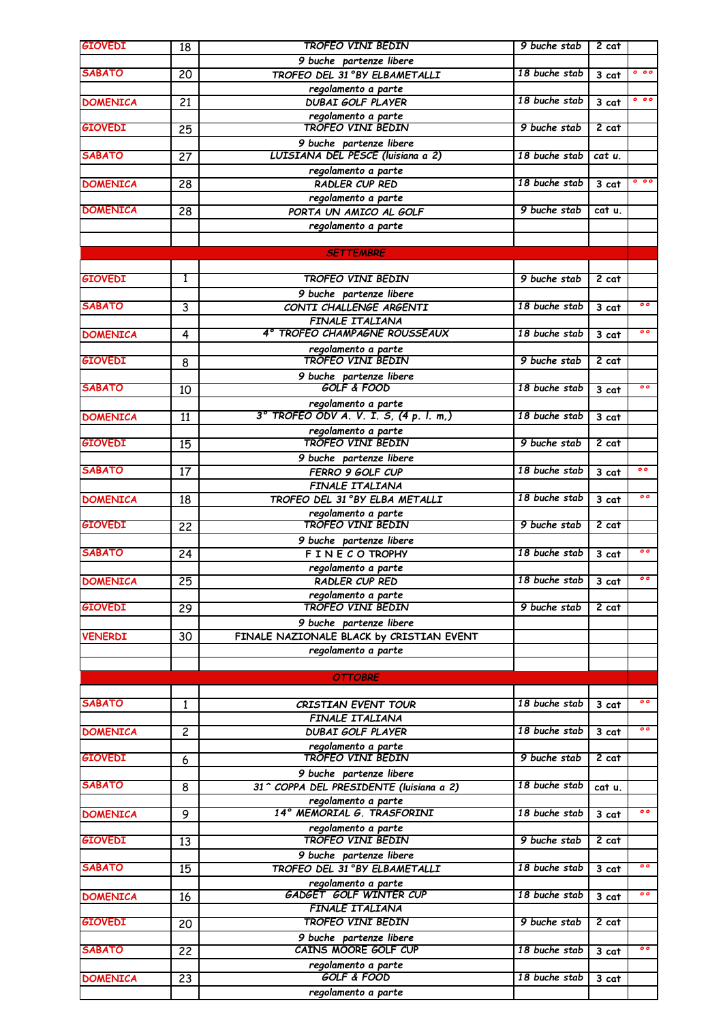|                                                                                                                                                                | 18              | <b>TROFEO VINI BEDIN</b>                                     | 9 buche stab  | $2$ cat            |                                                                                            |
|----------------------------------------------------------------------------------------------------------------------------------------------------------------|-----------------|--------------------------------------------------------------|---------------|--------------------|--------------------------------------------------------------------------------------------|
|                                                                                                                                                                |                 | 9 buche partenze libere                                      |               |                    |                                                                                            |
| SABATO                                                                                                                                                         | 20              | TROFEO DEL 31°BY ELBAMETALLI                                 | 18 buche stab | $3$ cat            | 0 <sub>0</sub>                                                                             |
|                                                                                                                                                                |                 | regolamento a parte                                          |               |                    |                                                                                            |
| <b>DOMENICA</b>                                                                                                                                                | 21              | <b>DUBAI GOLF PLAYER</b>                                     | 18 buche stab | 3 cat              | 000                                                                                        |
|                                                                                                                                                                |                 | regolamento a parte                                          |               |                    |                                                                                            |
| <b>GIOVEDI</b>                                                                                                                                                 | $\overline{25}$ | <b>TROFEO VINI BEDIN</b>                                     | 9 buche stab  | $2$ cat            |                                                                                            |
| <b>SABATO</b>                                                                                                                                                  |                 | 9 buche partenze libere<br>LUISIANA DEL PESCE (luisiana a 2) | 18 buche stab |                    |                                                                                            |
|                                                                                                                                                                | $\overline{27}$ |                                                              |               | cat u.             |                                                                                            |
|                                                                                                                                                                |                 | regolamento a parte<br>RADLER CUP RED                        | 18 buche stab |                    | 000                                                                                        |
| <b>DOMENICA</b>                                                                                                                                                | $\overline{28}$ |                                                              |               | 3 cat              |                                                                                            |
| <b>DOMENICA</b>                                                                                                                                                |                 | regolamento a parte<br>PORTA UN AMICO AL GOLF                | 9 buche stab  | cat u.             |                                                                                            |
|                                                                                                                                                                | 28              |                                                              |               |                    |                                                                                            |
|                                                                                                                                                                |                 | regolamento a parte                                          |               |                    |                                                                                            |
|                                                                                                                                                                |                 | <b>SETTEMBRE</b>                                             |               |                    |                                                                                            |
|                                                                                                                                                                |                 |                                                              |               |                    |                                                                                            |
| <b>GIOVEDI</b>                                                                                                                                                 | 1               | <b>TROFEO VINI BEDIN</b>                                     | 9 buche stab  | $2$ cat            |                                                                                            |
|                                                                                                                                                                |                 |                                                              |               |                    |                                                                                            |
| SABATO                                                                                                                                                         | 3               | 9 buche partenze libere<br>CONTI CHALLENGE ARGENTI           | 18 buche stab |                    | $\circ$                                                                                    |
|                                                                                                                                                                |                 |                                                              |               | $3$ cat            |                                                                                            |
|                                                                                                                                                                |                 | FINALE ITALIANA<br>4° TROFEO CHAMPAGNE ROUSSEAUX             | 18 buche stab |                    | $\circ$                                                                                    |
| <b>DOMENICA</b>                                                                                                                                                | 4               |                                                              |               | 3 cat              |                                                                                            |
| <b>GIOVEDI</b>                                                                                                                                                 |                 | regolamento a parte<br><b>TROFEO VINI BEDIN</b>              | 9 buche stab  | 2 cat              |                                                                                            |
|                                                                                                                                                                | 8               |                                                              |               |                    |                                                                                            |
|                                                                                                                                                                |                 | 9 buche partenze libere<br><b>GOLF &amp; FOOD</b>            |               |                    | $\mathbf{o}$                                                                               |
| <b>SABATO</b>                                                                                                                                                  | 10              |                                                              | 18 buche stab | 3 cat              |                                                                                            |
|                                                                                                                                                                |                 | regolamento a parte<br>3° TROFEO ODV A.V.I.S, (4 p.I.m.)     |               |                    |                                                                                            |
| <b>DOMENICA</b>                                                                                                                                                | 11              |                                                              | 18 buche stab | 3 cat              |                                                                                            |
|                                                                                                                                                                |                 | regolamento a parte                                          |               |                    |                                                                                            |
| <b>GIOVEDI</b>                                                                                                                                                 | 15              | <b>TROFEO VINI BEDIN</b>                                     | 9 buche stab  | $2$ cat            |                                                                                            |
|                                                                                                                                                                |                 | 9 buche partenze libere                                      |               |                    |                                                                                            |
| <b>SABATO</b>                                                                                                                                                  | 17              | FERRO 9 GOLF CUP                                             | 18 buche stab | 3 cat              | $\overline{\mathbf{0}}$                                                                    |
|                                                                                                                                                                |                 | FINALE ITALIANA                                              |               |                    |                                                                                            |
| <b>DOMENICA</b>                                                                                                                                                | 18              | TROFEO DEL 31°BY ELBA METALLI                                | 18 buche stab | $\overline{3}$ cat | $\mathbf{o}$                                                                               |
|                                                                                                                                                                |                 | regolamento a parte                                          |               |                    |                                                                                            |
| <b>GIOVEDI</b>                                                                                                                                                 | 22              | <b>TROFEO VINI BEDIN</b>                                     | 9 buche stab  | $2$ cat            |                                                                                            |
|                                                                                                                                                                |                 | 9 buche partenze libere                                      |               |                    |                                                                                            |
| <b>SABATO</b>                                                                                                                                                  | 24              | F INE CO TROPHY                                              | 18 buche stab | 3 cat              | $\mathbf{o} \bullet$                                                                       |
|                                                                                                                                                                |                 | regolamento a parte                                          |               |                    |                                                                                            |
| <b>DOMENICA</b>                                                                                                                                                | $\overline{25}$ | RADLER CUP RED                                               | 18 buche stab | $\overline{3}$ cat |                                                                                            |
|                                                                                                                                                                |                 | regolamento a parte                                          |               |                    |                                                                                            |
| <b>GIOVEDI</b>                                                                                                                                                 | 29              | TROFEO VINI BEDIN                                            | 9 buche stab  | $2$ cat            |                                                                                            |
|                                                                                                                                                                |                 | 9 buche partenze libere                                      |               |                    |                                                                                            |
| <b>VENERDI</b>                                                                                                                                                 | 30              | FINALE NAZIONALE BLACK by CRISTIAN EVENT                     |               |                    |                                                                                            |
|                                                                                                                                                                |                 |                                                              |               |                    |                                                                                            |
|                                                                                                                                                                |                 | regolamento a parte                                          |               |                    |                                                                                            |
|                                                                                                                                                                |                 |                                                              |               |                    |                                                                                            |
|                                                                                                                                                                |                 | <b>OTTOBRE</b>                                               |               |                    |                                                                                            |
|                                                                                                                                                                |                 |                                                              |               |                    |                                                                                            |
|                                                                                                                                                                | $\mathbf{1}$    | <b>CRISTIAN EVENT TOUR</b>                                   | 18 buche stab | 3 cat              |                                                                                            |
|                                                                                                                                                                |                 | FINALE ITALIANA                                              |               |                    |                                                                                            |
|                                                                                                                                                                | $\overline{c}$  | <b>DUBAI GOLF PLAYER</b>                                     | 18 buche stab | $3$ cat            |                                                                                            |
|                                                                                                                                                                |                 | regolamento a parte                                          |               |                    |                                                                                            |
|                                                                                                                                                                | 6               | <b>TROFEO VINI BEDIN</b>                                     | 9 buche stab  | $2$ cat            |                                                                                            |
|                                                                                                                                                                |                 | 9 buche partenze libere                                      |               |                    |                                                                                            |
|                                                                                                                                                                | 8               | 31 ^ COPPA DEL PRESIDENTE (luisiana a 2)                     | 18 buche stab | cat u.             |                                                                                            |
|                                                                                                                                                                |                 | regolamento a parte                                          |               |                    |                                                                                            |
|                                                                                                                                                                | 9               | 14° MEMORIAL G. TRASFORINI                                   | 18 buche stab | 3 cat              |                                                                                            |
|                                                                                                                                                                |                 | regolamento a parte                                          |               |                    |                                                                                            |
|                                                                                                                                                                | 13              | TROFEO VINI BEDIN                                            | 9 buche stab  | $2$ cat            |                                                                                            |
|                                                                                                                                                                |                 | 9 buche partenze libere                                      |               |                    |                                                                                            |
|                                                                                                                                                                | 15              | TROFEO DEL 31°BY ELBAMETALLI                                 | 18 buche stab | 3 cat              |                                                                                            |
|                                                                                                                                                                |                 |                                                              |               |                    |                                                                                            |
|                                                                                                                                                                | 16              | regolamento a parte<br>GADGET GOLF WINTER CUP                | 18 buche stab | 3 cat              |                                                                                            |
|                                                                                                                                                                |                 | <b>FINALE ITALIANA</b>                                       |               |                    |                                                                                            |
| <b>SABATO</b><br><b>DOMENICA</b><br><b>GIOVEDI</b><br><b>SABATO</b><br><b>DOMENICA</b><br><b>GIOVEDI</b><br><b>SABATO</b><br><b>DOMENICA</b><br><b>GIOVEDI</b> |                 | <b>TROFEO VINI BEDIN</b>                                     | 9 buche stab  | $2$ cat            |                                                                                            |
|                                                                                                                                                                | 20              |                                                              |               |                    |                                                                                            |
| <b>SABATO</b>                                                                                                                                                  |                 | 9 buche partenze libere<br>CAINS MOORE GOLF CUP              | 18 buche stab |                    |                                                                                            |
|                                                                                                                                                                | 22              |                                                              |               | 3 cat              |                                                                                            |
| <b>DOMENICA</b>                                                                                                                                                | 23              | regolamento a parte<br><b>GOLF &amp; FOOD</b>                | 18 buche stab | 3 cat              | $\circ$<br>$\mathbf{o} \bullet$<br>$\circ$<br>$\circ$<br>$\mathbf{o} \bullet$<br>$\bullet$ |